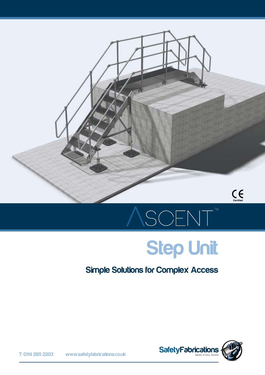

## SCENT

#### Step Unit

#### Simple Solutions for Complex Access

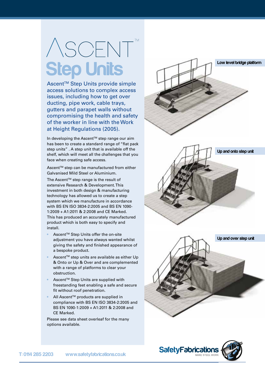### ASCENT **Step Units**

Ascent™ Step Units provide simple access solutions to complex access issues, including how to get over ducting, pipe work, cable trays, gutters and parapet walls without compromising the health and safety of the worker in line with the Work at Height Regulations (2005) .

In developing the Ascent™ step range our aim has been to create a standard range of "flat pack step units" . A step unit that is available off the shelf, which will meet all the challenges that you face when creating safe access.

Ascent™ step can be manufactured from either Galvanised Mild Steel or Aluminium.

The Ascent™ step range is the result of extensive Research & Development. This investment in both design & manufacturing technology has allowed us to create a step system which we manufacture in accordance with BS EN ISO 3834-2:2005 and BS EN 1090- 1:2009 + A1:2011 & 2:2008 and CE Marked. This has produced an accurately manufactured product which is both easy to specify and install.

- Ascent<sup>™</sup> Step Units offer the on-site adjustment you have always wanted whilst giving the safety and finished appearance of a bespoke product.
- Ascent™ step units are available as either Up & Onto or Up & Over and are complemented with a range of platforms to clear your obstruction.
- Ascent™ Step Units are supplied with freestanding feet enabling a safe and secure fit without roof penetration.
- All Ascent™ products are supplied in compliance with BS EN ISO 3834-2:2005 and BS EN 1090-1:2009 + A1:2011 & 2:2008 and CE Marked.

Please see data sheet overleaf for the many options available.



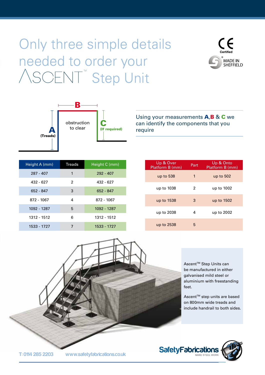#### Only three simple details needed to order your ASCENT<sup>™</sup> Step Unit





Using your measurements **A,B & C** we can identify the components that you require

| Height A (mm) | <b>Treads</b> | Height C (mm) |
|---------------|---------------|---------------|
| $287 - 407$   | 1             | $292 - 407$   |
| 432 - 627     | 2             | 432 - 627     |
| 652 - 847     | 3             | 652 - 847     |
| 872 - 1067    | 4             | 872 - 1067    |
| 1092 - 1287   | 5             | 1092 - 1287   |
| 1312 - 1512   | 6             | 1312 - 1512   |
| 1533 - 1727   |               | 1533 - 1727   |

| Up & Over<br>Platform B (mm) | Part | Up & Onto<br>Platform B (mm) |
|------------------------------|------|------------------------------|
| up to 538                    | 1    | up to 502                    |
| up to 1038                   | 2    | up to 1002                   |
| up to 1538                   | 3    | up to 1502                   |
| up to 2038                   | 4    | up to 2002                   |
| up to 2538                   | 5    |                              |

Ascent<sup>™</sup> Step Units can be manufactured in either galvanised mild steel or aluminium with freestanding feet.

Ascent<sup>™</sup> step units are based on 800mm wide treads and include handrail to both sides.



T: 0114 285 2203 www.safetyfabrications.co.uk